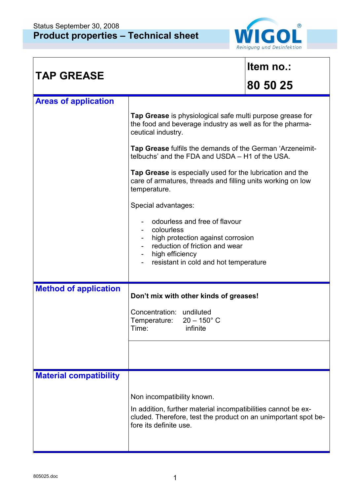

| <b>TAP GREASE</b>             |                                                                                                                                                                                         | Item no.: |  |
|-------------------------------|-----------------------------------------------------------------------------------------------------------------------------------------------------------------------------------------|-----------|--|
|                               |                                                                                                                                                                                         | 80 50 25  |  |
| <b>Areas of application</b>   |                                                                                                                                                                                         |           |  |
|                               | Tap Grease is physiological safe multi purpose grease for<br>the food and beverage industry as well as for the pharma-<br>ceutical industry.                                            |           |  |
|                               | Tap Grease fulfils the demands of the German 'Arzeneimit-<br>telbuchs' and the FDA and USDA - H1 of the USA.                                                                            |           |  |
|                               | Tap Grease is especially used for the lubrication and the<br>care of armatures, threads and filling units working on low<br>temperature.                                                |           |  |
|                               | Special advantages:                                                                                                                                                                     |           |  |
|                               | odourless and free of flavour<br>colourless<br>high protection against corrosion<br>reduction of friction and wear<br>high efficiency<br>Ξ.<br>resistant in cold and hot temperature    |           |  |
| <b>Method of application</b>  | Don't mix with other kinds of greases!                                                                                                                                                  |           |  |
|                               | Concentration: undiluted<br>Temperature:<br>$20 - 150^{\circ}$ C<br>infinite<br>Time:                                                                                                   |           |  |
|                               |                                                                                                                                                                                         |           |  |
| <b>Material compatibility</b> |                                                                                                                                                                                         |           |  |
|                               | Non incompatibility known.<br>In addition, further material incompatibilities cannot be ex-<br>cluded. Therefore, test the product on an unimportant spot be-<br>fore its definite use. |           |  |